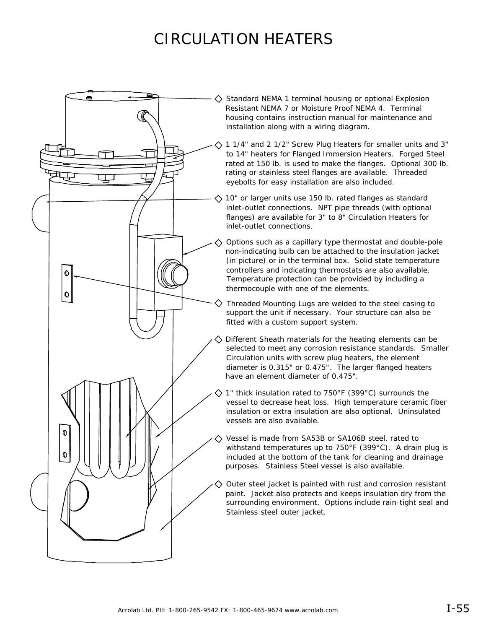# CIRCULATION HEATERS



 $\Diamond$  Standard NEMA 1 terminal housing or optional Explosion Resistant NEMA 7 or Moisture Proof NEMA 4. Terminal housing contains instruction manual for maintenance and installation along with a wiring diagram.

1 1/4" and 2 1/2" Screw Plug Heaters for smaller units and 3" to 14" heaters for Flanged Immersion Heaters. Forged Steel rated at 150 lb. is used to make the flanges. Optional 300 lb. rating or stainless steel flanges are available. Threaded eyebolts for easy installation are also included.

 $\Diamond$  10" or larger units use 150 lb. rated flanges as standard inlet-outlet connections. NPT pipe threads (with optional flanges) are available for 3" to 8" Circulation Heaters for inlet-outlet connections.

Options such as a capillary type thermostat and double-pole non-indicating bulb can be attached to the insulation jacket (in picture) or in the terminal box. Solid state temperature controllers and indicating thermostats are also available. Temperature protection can be provided by including a thermocouple with one of the elements.

 $\diamondsuit$  Threaded Mounting Lugs are welded to the steel casing to support the unit if necessary. Your structure can also be fitted with a custom support system.

Different Sheath materials for the heating elements can be selected to meet any corrosion resistance standards. Smaller Circulation units with screw plug heaters, the element diameter is 0.315" or 0.475". The larger flanged heaters have an element diameter of 0.475".

1" thick insulation rated to 750°F (399°C) surrounds the vessel to decrease heat loss. High temperature ceramic fiber insulation or extra insulation are also optional. Uninsulated vessels are also available.

Vessel is made from SA53B or SA106B steel, rated to withstand temperatures up to 750°F (399°C). A drain plug is included at the bottom of the tank for cleaning and drainage purposes. Stainless Steel vessel is also available.

Outer steel jacket is painted with rust and corrosion resistant paint. Jacket also protects and keeps insulation dry from the surrounding environment. Options include rain-tight seal and Stainless steel outer jacket.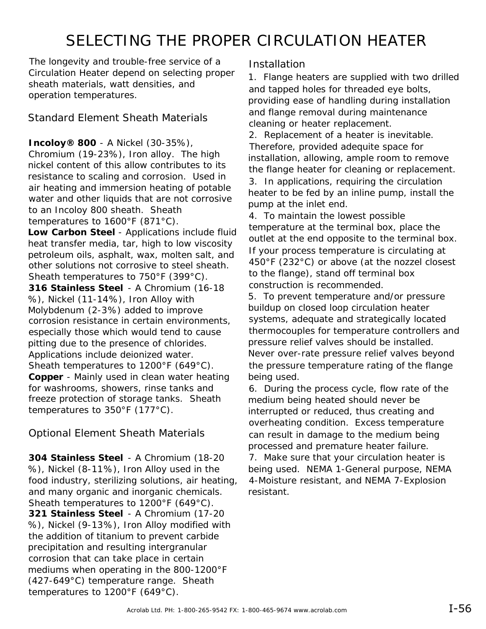## SELECTING THE PROPER CIRCULATION HEATER

The longevity and trouble-free service of a Circulation Heater depend on selecting proper sheath materials, watt densities, and operation temperatures.

Standard Element Sheath Materials

**Incoloy® 800** - A Nickel (30-35%), Chromium (19-23%), Iron alloy. The high nickel content of this allow contributes to its resistance to scaling and corrosion. Used in air heating and immersion heating of potable water and other liquids that are not corrosive to an Incoloy 800 sheath. Sheath temperatures to 1600°F (871°C).

**Low Carbon Steel** - Applications include fluid heat transfer media, tar, high to low viscosity petroleum oils, asphalt, wax, molten salt, and other solutions not corrosive to steel sheath. Sheath temperatures to 750°F (399°C). **316 Stainless Steel** - A Chromium (16-18 %), Nickel (11-14%), Iron Alloy with Molybdenum (2-3%) added to improve corrosion resistance in certain environments, especially those which would tend to cause pitting due to the presence of chlorides. Applications include deionized water. Sheath temperatures to 1200°F (649°C). **Copper** - Mainly used in clean water heating for washrooms, showers, rinse tanks and freeze protection of storage tanks. Sheath temperatures to 350°F (177°C).

Optional Element Sheath Materials

**304 Stainless Steel** - A Chromium (18-20 %), Nickel (8-11%), Iron Alloy used in the food industry, sterilizing solutions, air heating, and many organic and inorganic chemicals. Sheath temperatures to 1200°F (649°C). **321 Stainless Steel** - A Chromium (17-20 %), Nickel (9-13%), Iron Alloy modified with the addition of titanium to prevent carbide precipitation and resulting intergranular corrosion that can take place in certain mediums when operating in the 800-1200°F (427-649°C) temperature range. Sheath temperatures to 1200°F (649°C).

### **Installation**

1. Flange heaters are supplied with two drilled and tapped holes for threaded eye bolts, providing ease of handling during installation and flange removal during maintenance cleaning or heater replacement.

2. Replacement of a heater is inevitable. Therefore, provided adequite space for installation, allowing, ample room to remove the flange heater for cleaning or replacement. 3. In applications, requiring the circulation heater to be fed by an inline pump, install the pump at the inlet end.

4. To maintain the lowest possible temperature at the terminal box, place the outlet at the end opposite to the terminal box. If your process temperature is circulating at 450°F (232°C) or above (at the nozzel closest to the flange), stand off terminal box construction is recommended.

5. To prevent temperature and/or pressure buildup on closed loop circulation heater systems, adequate and strategically located thermocouples for temperature controllers and pressure relief valves should be installed. Never over-rate pressure relief valves beyond the pressure temperature rating of the flange being used.

6. During the process cycle, flow rate of the medium being heated should never be interrupted or reduced, thus creating and overheating condition. Excess temperature can result in damage to the medium being processed and premature heater failure.

7. Make sure that your circulation heater is being used. NEMA 1-General purpose, NEMA 4-Moisture resistant, and NEMA 7-Explosion resistant.